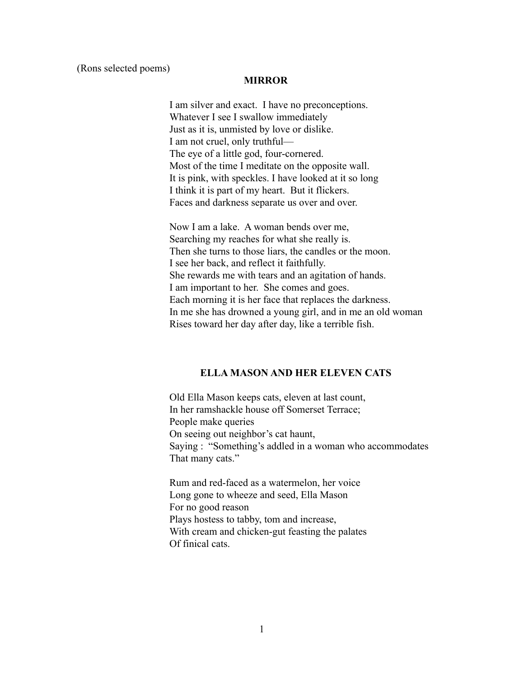#### **MIRROR**

I am silver and exact. I have no preconceptions. Whatever I see I swallow immediately Just as it is, unmisted by love or dislike. I am not cruel, only truthful— The eye of a little god, four-cornered. Most of the time I meditate on the opposite wall. It is pink, with speckles. I have looked at it so long I think it is part of my heart. But it flickers. Faces and darkness separate us over and over.

Now I am a lake. A woman bends over me, Searching my reaches for what she really is. Then she turns to those liars, the candles or the moon. I see her back, and reflect it faithfully. She rewards me with tears and an agitation of hands. I am important to her. She comes and goes. Each morning it is her face that replaces the darkness. In me she has drowned a young girl, and in me an old woman Rises toward her day after day, like a terrible fish.

## **ELLA MASON AND HER ELEVEN CATS**

Old Ella Mason keeps cats, eleven at last count, In her ramshackle house off Somerset Terrace; People make queries On seeing out neighbor's cat haunt, Saying : "Something's addled in a woman who accommodates That many cats."

Rum and red-faced as a watermelon, her voice Long gone to wheeze and seed, Ella Mason For no good reason Plays hostess to tabby, tom and increase, With cream and chicken-gut feasting the palates Of finical cats.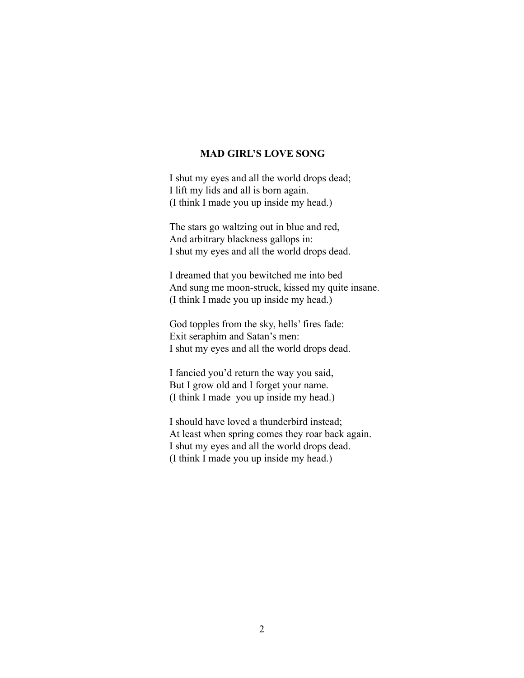## **MAD GIRL'S LOVE SONG**

I shut my eyes and all the world drops dead; I lift my lids and all is born again. (I think I made you up inside my head.)

The stars go waltzing out in blue and red, And arbitrary blackness gallops in: I shut my eyes and all the world drops dead.

I dreamed that you bewitched me into bed And sung me moon-struck, kissed my quite insane. (I think I made you up inside my head.)

God topples from the sky, hells' fires fade: Exit seraphim and Satan's men: I shut my eyes and all the world drops dead.

I fancied you'd return the way you said, But I grow old and I forget your name. (I think I made you up inside my head.)

I should have loved a thunderbird instead; At least when spring comes they roar back again. I shut my eyes and all the world drops dead. (I think I made you up inside my head.)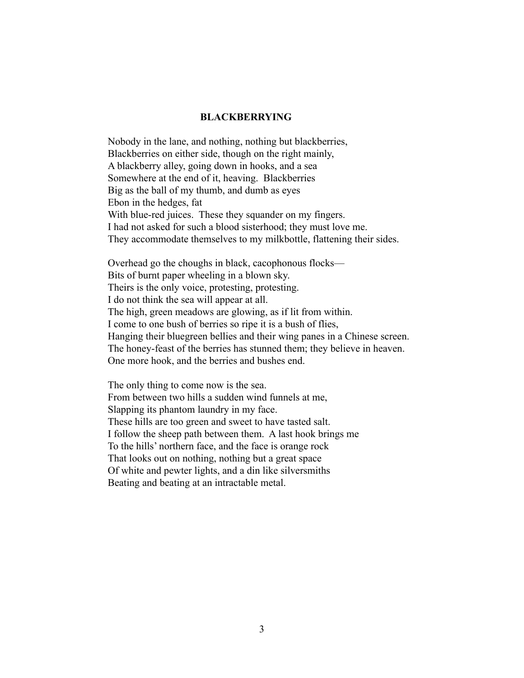#### **BLACKBERRYING**

Nobody in the lane, and nothing, nothing but blackberries, Blackberries on either side, though on the right mainly, A blackberry alley, going down in hooks, and a sea Somewhere at the end of it, heaving. Blackberries Big as the ball of my thumb, and dumb as eyes Ebon in the hedges, fat With blue-red juices. These they squander on my fingers. I had not asked for such a blood sisterhood; they must love me. They accommodate themselves to my milkbottle, flattening their sides.

Overhead go the choughs in black, cacophonous flocks— Bits of burnt paper wheeling in a blown sky. Theirs is the only voice, protesting, protesting. I do not think the sea will appear at all. The high, green meadows are glowing, as if lit from within. I come to one bush of berries so ripe it is a bush of flies, Hanging their bluegreen bellies and their wing panes in a Chinese screen. The honey-feast of the berries has stunned them; they believe in heaven. One more hook, and the berries and bushes end.

The only thing to come now is the sea. From between two hills a sudden wind funnels at me, Slapping its phantom laundry in my face. These hills are too green and sweet to have tasted salt. I follow the sheep path between them. A last hook brings me To the hills' northern face, and the face is orange rock That looks out on nothing, nothing but a great space Of white and pewter lights, and a din like silversmiths Beating and beating at an intractable metal.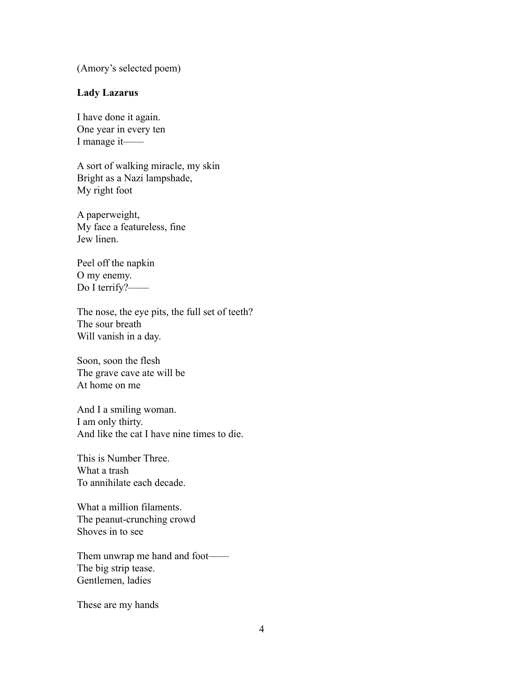(Amory's selected poem)

## **Lady Lazarus**

I have done it again. One year in every ten I manage it——

A sort of walking miracle, my skin Bright as a Nazi lampshade, My right foot

A paperweight, My face a featureless, fine Jew linen.

Peel off the napkin O my enemy. Do I terrify?——

The nose, the eye pits, the full set of teeth? The sour breath Will vanish in a day.

Soon, soon the flesh The grave cave ate will be At home on me

And I a smiling woman. I am only thirty. And like the cat I have nine times to die.

This is Number Three. What a trash To annihilate each decade.

What a million filaments. The peanut-crunching crowd Shoves in to see

Them unwrap me hand and foot—— The big strip tease. Gentlemen, ladies

These are my hands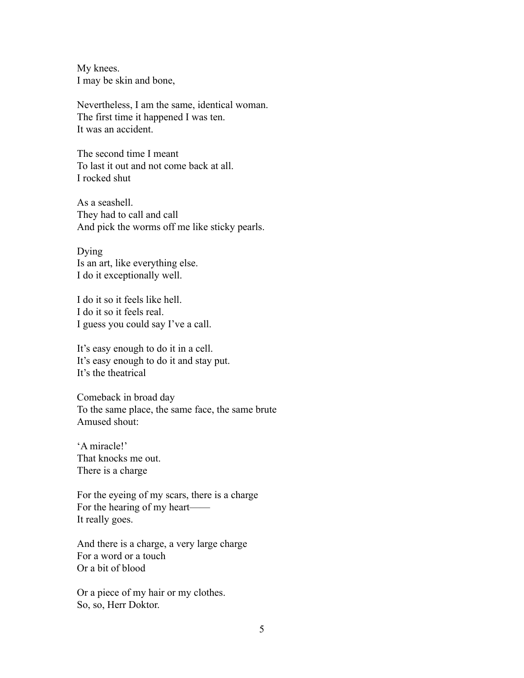My knees. I may be skin and bone,

Nevertheless, I am the same, identical woman. The first time it happened I was ten. It was an accident.

The second time I meant To last it out and not come back at all. I rocked shut

As a seashell. They had to call and call And pick the worms off me like sticky pearls.

Dying Is an art, like everything else. I do it exceptionally well.

I do it so it feels like hell. I do it so it feels real. I guess you could say I've a call.

It's easy enough to do it in a cell. It's easy enough to do it and stay put. It's the theatrical

Comeback in broad day To the same place, the same face, the same brute Amused shout:

'A miracle!' That knocks me out. There is a charge

For the eyeing of my scars, there is a charge For the hearing of my heart—— It really goes.

And there is a charge, a very large charge For a word or a touch Or a bit of blood

Or a piece of my hair or my clothes. So, so, Herr Doktor.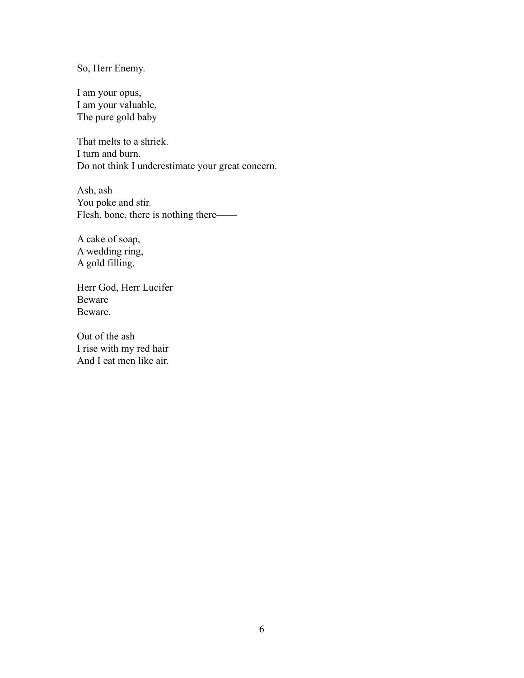So, Herr Enemy.

I am your opus, I am your valuable, The pure gold baby

That melts to a shriek. I turn and burn. Do not think I underestimate your great concern.

Ash, ash— You poke and stir. Flesh, bone, there is nothing there——

A cake of soap, A wedding ring, A gold filling.

Herr God, Herr Lucifer Beware Beware.

Out of the ash I rise with my red hair And I eat men like air.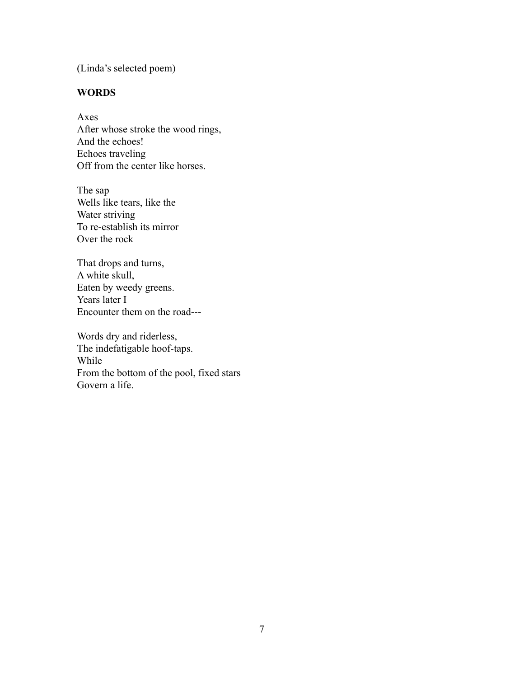(Linda's selected poem)

# **WORDS**

Axes After whose stroke the wood rings, And the echoes! Echoes traveling Off from the center like horses.

The sap Wells like tears, like the Water striving To re-establish its mirror Over the rock

That drops and turns, A white skull, Eaten by weedy greens. Years later I Encounter them on the road---

Words dry and riderless, The indefatigable hoof-taps. While From the bottom of the pool, fixed stars Govern a life.